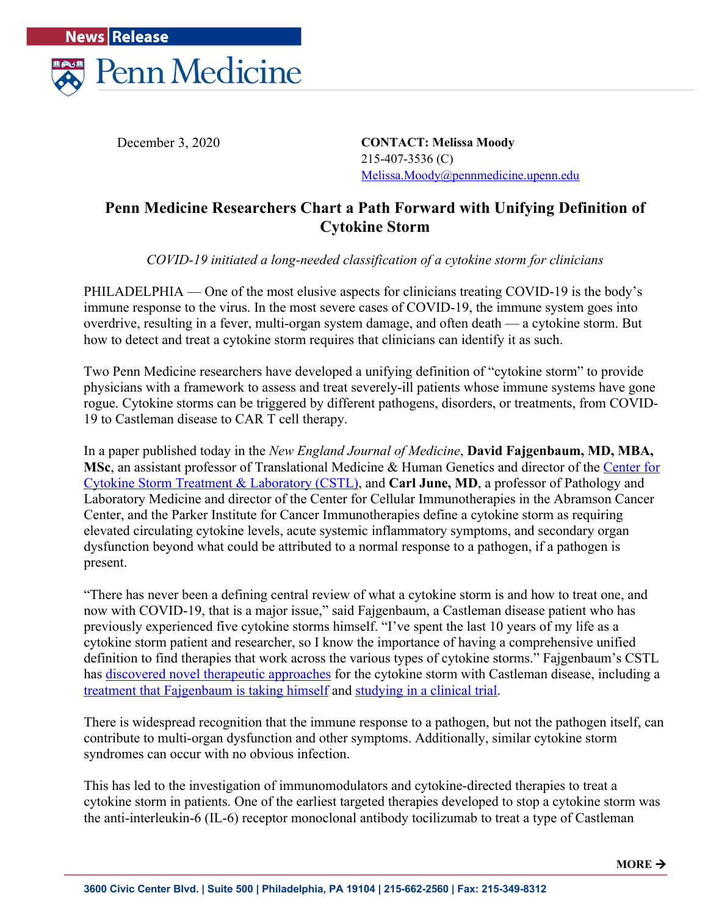

December 3, 2020

**CONTACT: Melissa Moody** 215-407-3536 (C) Melissa.Moody@pennmedicine.upenn.edu

## **Penn Medicine Researchers Chart a Path Forward with Unifying Definition of Cytokine Storm**

*COVID-19 initiated a long-needed classification of a cytokine storm for clinicians* 

PHILADELPHIA — One of the most elusive aspects for clinicians treating COVID-19 is the body's immune response to the virus. In the most severe cases of COVID-19, the immune system goes into overdrive, resulting in a fever, multi-organ system damage, and often death — a cytokine storm. But how to detect and treat a cytokine storm requires that clinicians can identify it as such.

Two Penn Medicine researchers have developed a unifying definition of "cytokine storm" to provide physicians with a framework to assess and treat severely-ill patients whose immune systems have gone rogue. Cytokine storms can be triggered by different pathogens, disorders, or treatments, from COVID-19 to Castleman disease to CAR T cell therapy.

In a paper published today in the *New England Journal of Medicine*, **David Fajgenbaum, MD, MBA,**  MSc, an assistant professor of Translational Medicine & Human Genetics and director of the Center for Cytokine Storm Treatment & Laboratory (CSTL), and **Carl June, MD**, a professor of Pathology and Laboratory Medicine and director of the Center for Cellular Immunotherapies in the Abramson Cancer Center, and the Parker Institute for Cancer Immunotherapies define a cytokine storm as requiring elevated circulating cytokine levels, acute systemic inflammatory symptoms, and secondary organ dysfunction beyond what could be attributed to a normal response to a pathogen, if a pathogen is present.

"There has never been a defining central review of what a cytokine storm is and how to treat one, and now with COVID-19, that is a major issue," said Fajgenbaum, a Castleman disease patient who has previously experienced five cytokine storms himself. "I've spent the last 10 years of my life as a cytokine storm patient and researcher, so I know the importance of having a comprehensive unified definition to find therapies that work across the various types of cytokine storms." Fajgenbaum's CSTL has discovered novel therapeutic approaches for the cytokine storm with Castleman disease, including a treatment that Fajgenbaum is taking himself and studying in a clinical trial.

There is widespread recognition that the immune response to a pathogen, but not the pathogen itself, can contribute to multi-organ dysfunction and other symptoms. Additionally, similar cytokine storm syndromes can occur with no obvious infection.

This has led to the investigation of immunomodulators and cytokine-directed therapies to treat a cytokine storm in patients. One of the earliest targeted therapies developed to stop a cytokine storm was the anti-interleukin-6 (IL-6) receptor monoclonal antibody tocilizumab to treat a type of Castleman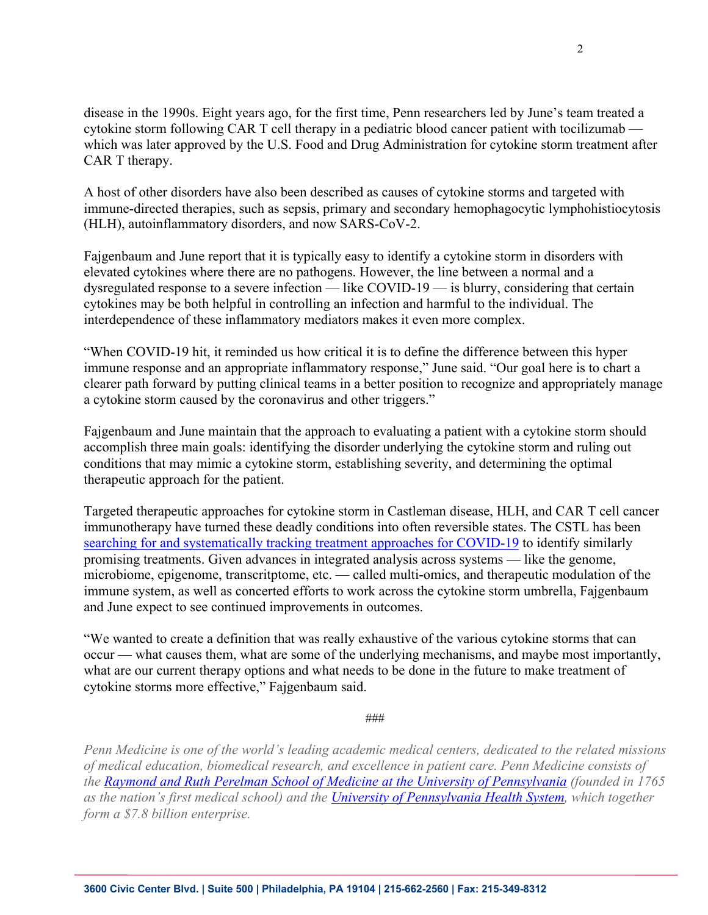disease in the 1990s. Eight years ago, for the first time, Penn researchers led by June's team treated a cytokine storm following CAR T cell therapy in a pediatric blood cancer patient with tocilizumab which was later approved by the U.S. Food and Drug Administration for cytokine storm treatment after CAR T therapy.

A host of other disorders have also been described as causes of cytokine storms and targeted with immune-directed therapies, such as sepsis, primary and secondary hemophagocytic lymphohistiocytosis (HLH), autoinflammatory disorders, and now SARS-CoV-2.

Fajgenbaum and June report that it is typically easy to identify a cytokine storm in disorders with elevated cytokines where there are no pathogens. However, the line between a normal and a dysregulated response to a severe infection — like COVID-19 — is blurry, considering that certain cytokines may be both helpful in controlling an infection and harmful to the individual. The interdependence of these inflammatory mediators makes it even more complex.

"When COVID-19 hit, it reminded us how critical it is to define the difference between this hyper immune response and an appropriate inflammatory response," June said. "Our goal here is to chart a clearer path forward by putting clinical teams in a better position to recognize and appropriately manage a cytokine storm caused by the coronavirus and other triggers."

Fajgenbaum and June maintain that the approach to evaluating a patient with a cytokine storm should accomplish three main goals: identifying the disorder underlying the cytokine storm and ruling out conditions that may mimic a cytokine storm, establishing severity, and determining the optimal therapeutic approach for the patient.

Targeted therapeutic approaches for cytokine storm in Castleman disease, HLH, and CAR T cell cancer immunotherapy have turned these deadly conditions into often reversible states. The CSTL has been searching for and systematically tracking treatment approaches for COVID-19 to identify similarly promising treatments. Given advances in integrated analysis across systems — like the genome, microbiome, epigenome, transcritptome, etc. — called multi-omics, and therapeutic modulation of the immune system, as well as concerted efforts to work across the cytokine storm umbrella, Fajgenbaum and June expect to see continued improvements in outcomes.

"We wanted to create a definition that was really exhaustive of the various cytokine storms that can occur — what causes them, what are some of the underlying mechanisms, and maybe most importantly, what are our current therapy options and what needs to be done in the future to make treatment of cytokine storms more effective," Fajgenbaum said.

###

*Penn Medicine is one of the world's leading academic medical centers, dedicated to the related missions of medical education, biomedical research, and excellence in patient care. Penn Medicine consists of the Raymond and Ruth Perelman School of Medicine at the University of Pennsylvania (founded in 1765 as the nation's first medical school) and the University of Pennsylvania Health System, which together form a \$7.8 billion enterprise.*